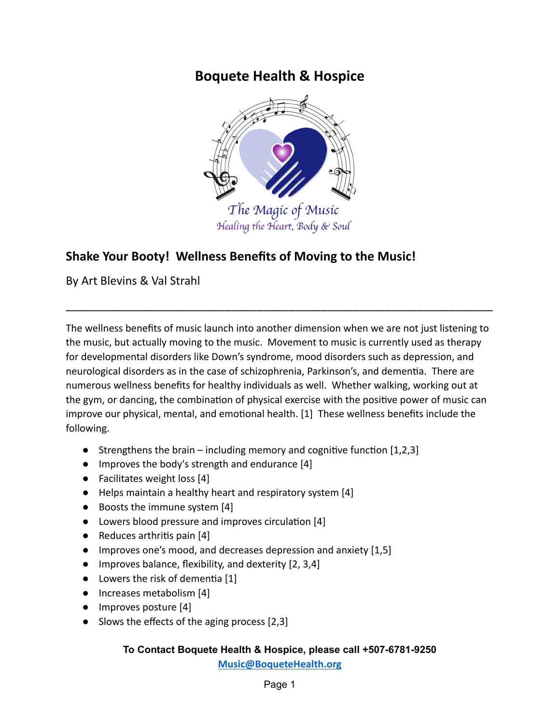# **Boquete Health & Hospice**



# **Shake Your Booty! Wellness Benefits of Moving to the Music!**

By Art Blevins & Val Strahl

The wellness benefits of music launch into another dimension when we are not just listening to the music, but actually moving to the music. Movement to music is currently used as therapy for developmental disorders like Down's syndrome, mood disorders such as depression, and neurological disorders as in the case of schizophrenia, Parkinson's, and dementia. There are numerous wellness benefits for healthy individuals as well. Whether walking, working out at the gym, or dancing, the combination of physical exercise with the positive power of music can improve our physical, mental, and emotional health. [1] These wellness benefits include the following.

\_\_\_\_\_\_\_\_\_\_\_\_\_\_\_\_\_\_\_\_\_\_\_\_\_\_\_\_\_\_\_\_\_\_\_\_\_\_\_\_\_\_\_\_\_\_\_\_\_\_\_\_\_\_\_\_\_\_\_\_\_\_\_\_\_\_\_

- Strengthens the brain including memory and cognitive function  $[1,2,3]$
- Improves the body's strength and endurance [4]
- Facilitates weight loss [4]
- Helps maintain a healthy heart and respiratory system [4]
- Boosts the immune system [4]
- Lowers blood pressure and improves circulation [4]
- $\bullet$  Reduces arthritis pain [4]
- Improves one's mood, and decreases depression and anxiety [1,5]
- Improves balance, flexibility, and dexterity [2, 3,4]
- $\bullet$  Lowers the risk of dementia [1]
- Increases metabolism [4]
- Improves posture [4]
- Slows the effects of the aging process [2,3]

# **To Contact Boquete Health & Hospice, please call +507-6781-9250**

**[Music@BoqueteHealth.org](mailto:Music@boquetehospice.org)**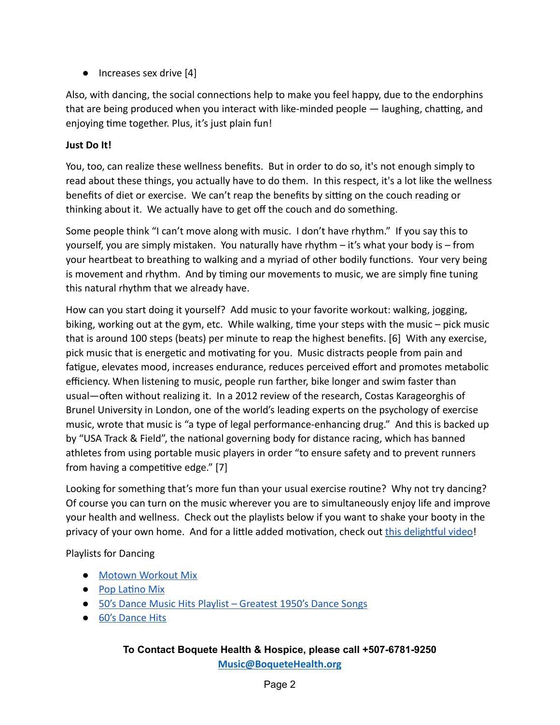● Increases sex drive [4]

Also, with dancing, the social connections help to make you feel happy, due to the endorphins that are being produced when you interact with like-minded people — laughing, chatting, and enjoying time together. Plus, it's just plain fun!

### **Just Do It!**

You, too, can realize these wellness benefits. But in order to do so, it's not enough simply to read about these things, you actually have to do them. In this respect, it's a lot like the wellness benefits of diet or exercise. We can't reap the benefits by sitting on the couch reading or thinking about it. We actually have to get off the couch and do something.

Some people think "I can't move along with music. I don't have rhythm." If you say this to yourself, you are simply mistaken. You naturally have rhythm – it's what your body is – from your heartbeat to breathing to walking and a myriad of other bodily functions. Your very being is movement and rhythm. And by timing our movements to music, we are simply fine tuning this natural rhythm that we already have.

How can you start doing it yourself? Add music to your favorite workout: walking, jogging, biking, working out at the gym, etc. While walking, time your steps with the music  $-$  pick music that is around 100 steps (beats) per minute to reap the highest benefits. [6] With any exercise, pick music that is energetic and motivating for you. Music distracts people from pain and fatigue, elevates mood, increases endurance, reduces perceived effort and promotes metabolic efficiency. When listening to music, people run farther, bike longer and swim faster than usual—often without realizing it. In a 2012 review of the research, Costas Karageorghis of Brunel University in London, one of the world's leading experts on the psychology of exercise music, wrote that music is "a type of legal performance-enhancing drug." And this is backed up by "USA Track & Field", the national governing body for distance racing, which has banned athletes from using portable music players in order "to ensure safety and to prevent runners from having a competitive edge."  $[7]$ 

Looking for something that's more fun than your usual exercise routine? Why not try dancing? Of course you can turn on the music wherever you are to simultaneously enjoy life and improve your health and wellness. Check out the playlists below if you want to shake your booty in the privacy of your own home. And for a little added motivation, check out this delightful video!

### Playlists for Dancing

- [Motown Workout Mix](https://www.youtube.com/watch?v=JHUqpit4v6k)
- Pop Latino Mix
- [50's Dance Music Hits Playlist Greatest 1950's Dance Songs](https://www.youtube.com/playlist?list=PLGBuKfnErZlBu0CMNZUBcww_EB1g2Vj5Z)
- [60's Dance Hits](https://www.youtube.com/watch?v=Qq7iaXgaQg8)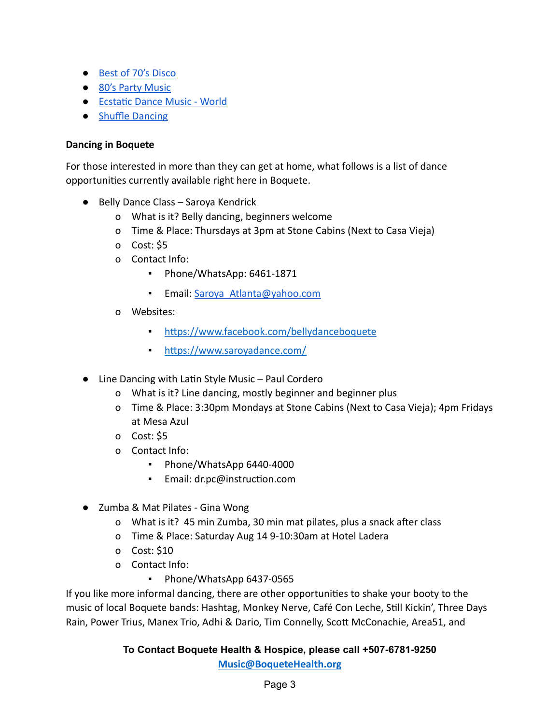- [Best of 70's Disco](https://www.youtube.com/watch?v=LUGga_VPeTo&t=428s)
- [80's Party Music](https://www.youtube.com/watch?v=FG1NrQYXjLU&list=PLcc1n6c7DMMcvSGi2PBL1AgOK8obl2BVz)
- Ecstatic Dance Music World
- [Shuffle Dancing](https://www.youtube.com/watch?v=z3NSSOJaBwI&list=PL64-E2h6zEyQDmMLVYY5iQpg7NXti25RM)

#### **Dancing in Boquete**

For those interested in more than they can get at home, what follows is a list of dance opportunities currently available right here in Boquete.

- Belly Dance Class Saroya Kendrick
	- o What is it? Belly dancing, beginners welcome
	- o Time & Place: Thursdays at 3pm at Stone Cabins (Next to Casa Vieja)
	- o Cost: \$5
	- o Contact Info:
		- Phone/WhatsApp: 6461-1871
		- Email: Saroya Atlanta@yahoo.com
	- o Websites:
		- https://www.facebook.com/bellydanceboquete
		- https://www.saroyadance.com/
- Line Dancing with Latin Style Music Paul Cordero
	- o What is it? Line dancing, mostly beginner and beginner plus
	- o Time & Place: 3:30pm Mondays at Stone Cabins (Next to Casa Vieja); 4pm Fridays at Mesa Azul
	- o Cost: \$5
	- o Contact Info:
		- Phone/WhatsApp 6440-4000
		- Email: dr.pc@instruction.com
- Zumba & Mat Pilates Gina Wong
	- o What is it? 45 min Zumba, 30 min mat pilates, plus a snack after class
	- o Time & Place: Saturday Aug 14 9-10:30am at Hotel Ladera
	- o Cost: \$10
	- o Contact Info:
		- Phone/WhatsApp 6437-0565

If you like more informal dancing, there are other opportunities to shake your booty to the music of local Boquete bands: Hashtag, Monkey Nerve, Café Con Leche, Still Kickin', Three Days Rain, Power Trius, Manex Trio, Adhi & Dario, Tim Connelly, Scott McConachie, Area51, and

**To Contact Boquete Health & Hospice, please call +507-6781-9250**

**[Music@BoqueteHealth.org](mailto:Music@boquetehospice.org)**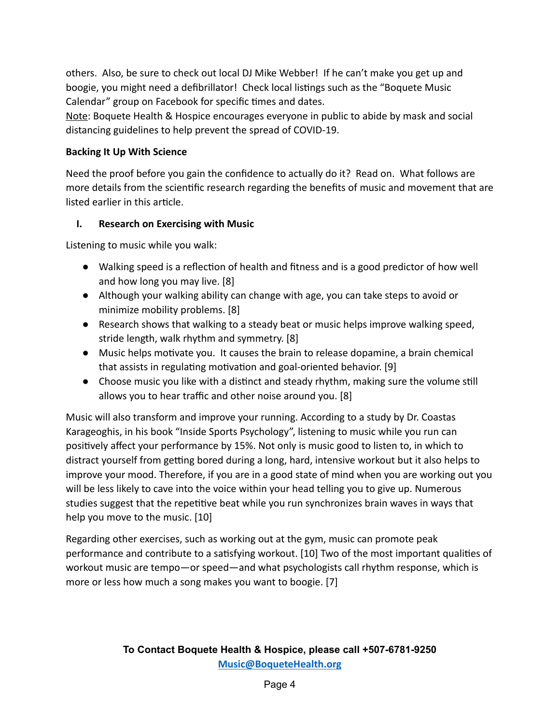others. Also, be sure to check out local DJ Mike Webber! If he can't make you get up and boogie, you might need a defibrillator! Check local listings such as the "Boquete Music Calendar" group on Facebook for specific times and dates.

Note: Boquete Health & Hospice encourages everyone in public to abide by mask and social distancing guidelines to help prevent the spread of COVID-19.

### **Backing It Up With Science**

Need the proof before you gain the confidence to actually do it? Read on. What follows are more details from the scientific research regarding the benefits of music and movement that are listed earlier in this article.

### **I. Research on Exercising with Music**

Listening to music while you walk:

- Walking speed is a reflection of health and fitness and is a good predictor of how well and how long you may live. [8]
- Although your walking ability can change with age, you can take steps to avoid or minimize mobility problems. [8]
- Research shows that walking to a steady beat or music helps improve walking speed, stride length, walk rhythm and symmetry. [8]
- $\bullet$  Music helps motivate you. It causes the brain to release dopamine, a brain chemical that assists in regulating motivation and goal-oriented behavior. [9]
- $\bullet$  Choose music you like with a distinct and steady rhythm, making sure the volume still allows you to hear traffic and other noise around you. [8]

Music will also transform and improve your running. According to a study by Dr. Coastas Karageoghis, in his book "Inside Sports Psychology", listening to music while you run can positively affect your performance by 15%. Not only is music good to listen to, in which to distract yourself from getting bored during a long, hard, intensive workout but it also helps to improve your mood. Therefore, if you are in a good state of mind when you are working out you will be less likely to cave into the voice within your head telling you to give up. Numerous studies suggest that the repetitive beat while you run synchronizes brain waves in ways that help you move to the music. [10]

Regarding other exercises, such as working out at the gym, music can promote peak performance and contribute to a satisfying workout. [10] Two of the most important qualities of workout music are tempo—or speed—and what psychologists call rhythm response, which is more or less how much a song makes you want to boogie. [7]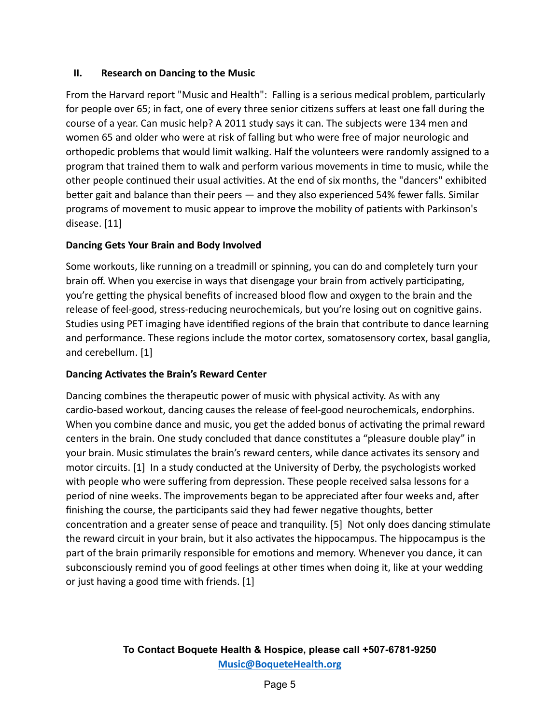### **II. Research on Dancing to the Music**

From the Harvard report "Music and Health": Falling is a serious medical problem, particularly for people over 65; in fact, one of every three senior citizens suffers at least one fall during the course of a year. Can music help? A 2011 study says it can. The subjects were 134 men and women 65 and older who were at risk of falling but who were free of major neurologic and orthopedic problems that would limit walking. Half the volunteers were randomly assigned to a program that trained them to walk and perform various movements in time to music, while the other people continued their usual activities. At the end of six months, the "dancers" exhibited better gait and balance than their peers  $-$  and they also experienced 54% fewer falls. Similar programs of movement to music appear to improve the mobility of patients with Parkinson's disease. [11]

### **Dancing Gets Your Brain and Body Involved**

Some workouts, like running on a treadmill or spinning, you can do and completely turn your brain off. When you exercise in ways that disengage your brain from actively participating, you're getting the physical benefits of increased blood flow and oxygen to the brain and the release of feel-good, stress-reducing neurochemicals, but you're losing out on cognitive gains. Studies using PET imaging have idenfied regions of the brain that contribute to dance learning and performance. These regions include the motor cortex, somatosensory cortex, basal ganglia, and cerebellum. [1]

### **Dancing Activates the Brain's Reward Center**

Dancing combines the therapeutic power of music with physical activity. As with any cardio-based workout, dancing causes the release of feel-good neurochemicals, endorphins. When you combine dance and music, you get the added bonus of activating the primal reward centers in the brain. One study concluded that dance constitutes a "pleasure double play" in your brain. Music stimulates the brain's reward centers, while dance activates its sensory and motor circuits. [1] In a study conducted at the University of Derby, the psychologists worked with people who were suffering from depression. These people received salsa lessons for a period of nine weeks. The improvements began to be appreciated after four weeks and, after finishing the course, the participants said they had fewer negative thoughts, better concentration and a greater sense of peace and tranquility. [5] Not only does dancing stimulate the reward circuit in your brain, but it also activates the hippocampus. The hippocampus is the part of the brain primarily responsible for emotions and memory. Whenever you dance, it can subconsciously remind you of good feelings at other times when doing it, like at your wedding or just having a good time with friends.  $[1]$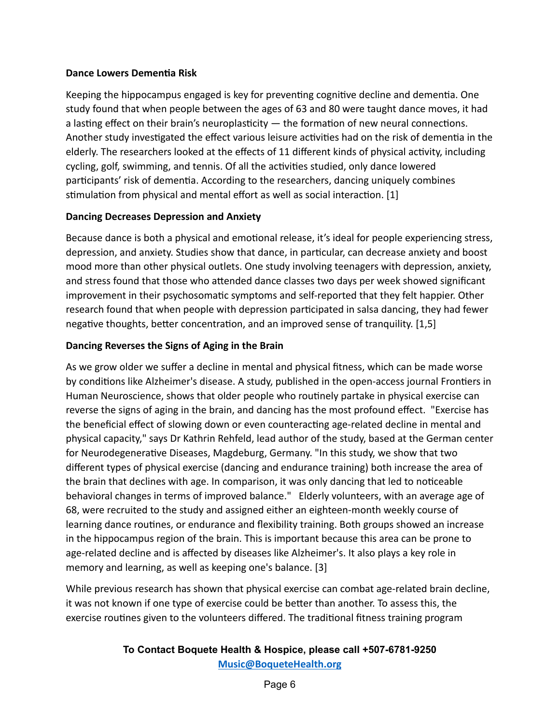### **Dance Lowers Dementia Risk**

Keeping the hippocampus engaged is key for preventing cognitive decline and dementia. One study found that when people between the ages of 63 and 80 were taught dance moves, it had a lasting effect on their brain's neuroplasticity  $-$  the formation of new neural connections. Another study investigated the effect various leisure activities had on the risk of dementia in the elderly. The researchers looked at the effects of 11 different kinds of physical activity, including cycling, golf, swimming, and tennis. Of all the activities studied, only dance lowered participants' risk of dementia. According to the researchers, dancing uniquely combines stimulation from physical and mental effort as well as social interaction.  $[1]$ 

#### **Dancing Decreases Depression and Anxiety**

Because dance is both a physical and emotional release, it's ideal for people experiencing stress, depression, and anxiety. Studies show that dance, in particular, can decrease anxiety and boost mood more than other physical outlets. One study involving teenagers with depression, anxiety, and stress found that those who attended dance classes two days per week showed significant improvement in their psychosomatic symptoms and self-reported that they felt happier. Other research found that when people with depression participated in salsa dancing, they had fewer negative thoughts, better concentration, and an improved sense of tranquility. [1,5]

### **Dancing Reverses the Signs of Aging in the Brain**

As we grow older we suffer a decline in mental and physical fitness, which can be made worse by conditions like Alzheimer's disease. A study, published in the open-access journal Frontiers in Human Neuroscience, shows that older people who routinely partake in physical exercise can reverse the signs of aging in the brain, and dancing has the most profound effect. "Exercise has the beneficial effect of slowing down or even counteracting age-related decline in mental and physical capacity," says Dr Kathrin Rehfeld, lead author of the study, based at the German center for Neurodegenerative Diseases, Magdeburg, Germany. "In this study, we show that two different types of physical exercise (dancing and endurance training) both increase the area of the brain that declines with age. In comparison, it was only dancing that led to noticeable behavioral changes in terms of improved balance." Elderly volunteers, with an average age of 68, were recruited to the study and assigned either an eighteen-month weekly course of learning dance routines, or endurance and flexibility training. Both groups showed an increase in the hippocampus region of the brain. This is important because this area can be prone to age-related decline and is affected by diseases like Alzheimer's. It also plays a key role in memory and learning, as well as keeping one's balance. [3]

While previous research has shown that physical exercise can combat age-related brain decline, it was not known if one type of exercise could be better than another. To assess this, the exercise routines given to the volunteers differed. The traditional fitness training program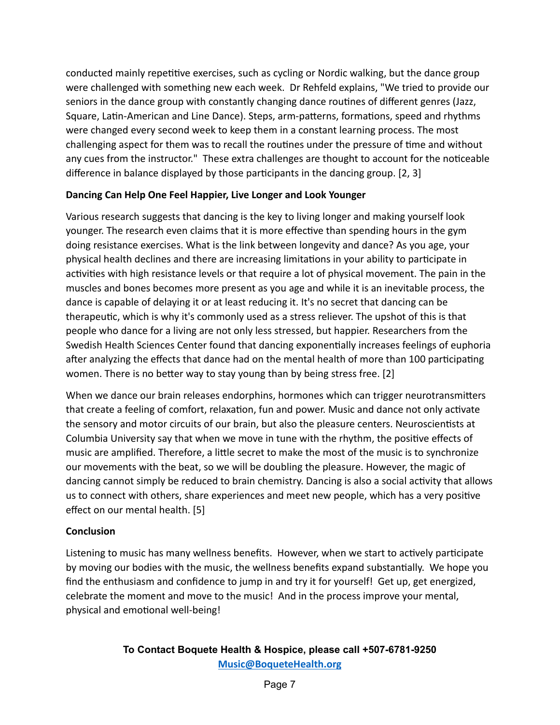conducted mainly repetitive exercises, such as cycling or Nordic walking, but the dance group were challenged with something new each week. Dr Rehfeld explains, "We tried to provide our seniors in the dance group with constantly changing dance routines of different genres (Jazz, Square, Latin-American and Line Dance). Steps, arm-patterns, formations, speed and rhythms were changed every second week to keep them in a constant learning process. The most challenging aspect for them was to recall the routines under the pressure of time and without any cues from the instructor." These extra challenges are thought to account for the noticeable difference in balance displayed by those participants in the dancing group.  $[2, 3]$ 

### **Dancing Can Help One Feel Happier, Live Longer and Look Younger**

Various research suggests that dancing is the key to living longer and making yourself look younger. The research even claims that it is more effective than spending hours in the gym doing resistance exercises. What is the link between longevity and dance? As you age, your physical health declines and there are increasing limitations in your ability to participate in activities with high resistance levels or that require a lot of physical movement. The pain in the muscles and bones becomes more present as you age and while it is an inevitable process, the dance is capable of delaying it or at least reducing it. It's no secret that dancing can be therapeutic, which is why it's commonly used as a stress reliever. The upshot of this is that people who dance for a living are not only less stressed, but happier. Researchers from the Swedish Health Sciences Center found that dancing exponentially increases feelings of euphoria after analyzing the effects that dance had on the mental health of more than 100 participating women. There is no better way to stay young than by being stress free. [2]

When we dance our brain releases endorphins, hormones which can trigger neurotransmitters that create a feeling of comfort, relaxation, fun and power. Music and dance not only activate the sensory and motor circuits of our brain, but also the pleasure centers. Neuroscientists at Columbia University say that when we move in tune with the rhythm, the positive effects of music are amplified. Therefore, a little secret to make the most of the music is to synchronize our movements with the beat, so we will be doubling the pleasure. However, the magic of dancing cannot simply be reduced to brain chemistry. Dancing is also a social activity that allows us to connect with others, share experiences and meet new people, which has a very positive effect on our mental health. [5]

### **Conclusion**

Listening to music has many wellness benefits. However, when we start to actively participate by moving our bodies with the music, the wellness benefits expand substantially. We hope you find the enthusiasm and confidence to jump in and try it for yourself! Get up, get energized, celebrate the moment and move to the music! And in the process improve your mental, physical and emotional well-being!